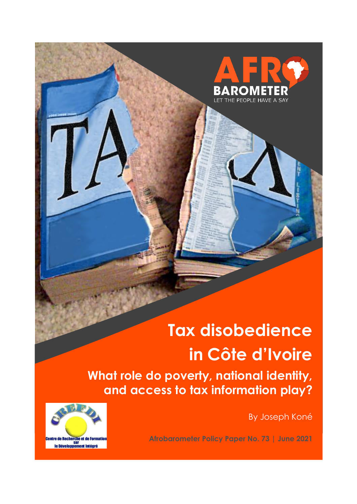

# **Tax disobedience in Côte d'Ivoire**

**What role do poverty, national identity, and access to tax information play?**

By Joseph Koné



**Afrobarometer Policy Paper No. 73 | June 2021**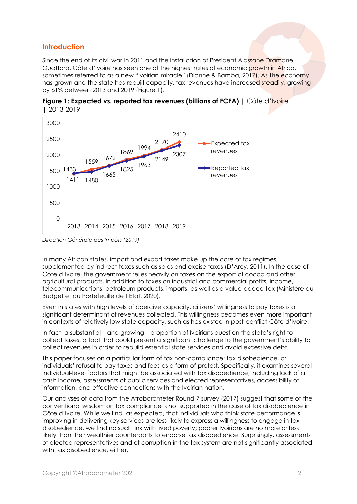#### **Introduction**

Since the end of its civil war in 2011 and the installation of President Alassane Dramane Ouattara, Côte d'Ivoire has seen one of the highest rates of economic growth in Africa, sometimes referred to as a new "Ivoirian miracle" (Dionne & Bamba, 2017). As the economy has grown and the state has rebuilt capacity, tax revenues have increased steadily, growing by 61% between 2013 and 2019 (Figure 1).





In many African states, import and export taxes make up the core of tax regimes, supplemented by indirect taxes such as sales and excise taxes (D'Arcy, 2011). In the case of Côte d'Ivoire, the government relies heavily on taxes on the export of cocoa and other agricultural products, in addition to taxes on industrial and commercial profits, income, telecommunications, petroleum products, imports, as well as a value-added tax (Ministère du Budget et du Portefeuille de l'Etat, 2020).

Even in states with high levels of coercive capacity, citizens' willingness to pay taxes is a significant determinant of revenues collected. This willingness becomes even more important in contexts of relatively low state capacity, such as has existed in post-conflict Côte d'Ivoire.

In fact, a substantial – and growing – proportion of Ivoirians question the state's right to collect taxes, a fact that could present a significant challenge to the government's ability to collect revenues in order to rebuild essential state services and avoid excessive debt.

This paper focuses on a particular form of tax non-compliance: tax disobedience, or individuals' refusal to pay taxes and fees as a form of protest. Specifically, it examines several individual-level factors that might be associated with tax disobedience, including lack of a cash income, assessments of public services and elected representatives, accessibility of information, and effective connections with the Ivoirian nation.

Our analyses of data from the Afrobarometer Round 7 survey (2017) suggest that some of the conventional wisdom on tax compliance is not supported in the case of tax disobedience in Côte d'Ivoire. While we find, as expected, that individuals who think state performance is improving in delivering key services are less likely to express a willingness to engage in tax disobedience, we find no such link with lived poverty; poorer Ivoirians are no more or less likely than their wealthier counterparts to endorse tax disobedience. Surprisingly, assessments of elected representatives and of corruption in the tax system are not significantly associated with tax disobedience, either.

*Direction Générale des Impôts (2019)*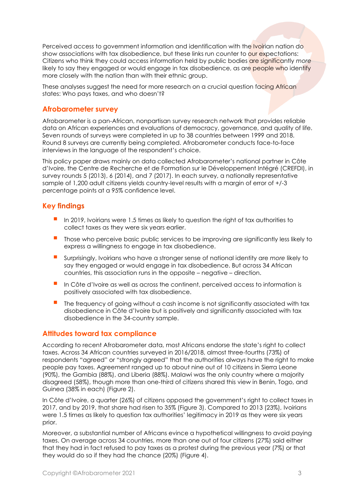Perceived access to government information and identification with the Ivoirian nation do show associations with tax disobedience, but these links run counter to our expectations: Citizens who think they could access information held by public bodies are significantly *more* likely to say they engaged or would engage in tax disobedience, as are people who identify more closely with the nation than with their ethnic group.

These analyses suggest the need for more research on a crucial question facing African states: Who pays taxes, and who doesn't?

#### **Afrobarometer survey**

Afrobarometer is a pan-African, nonpartisan survey research network that provides reliable data on African experiences and evaluations of democracy, governance, and quality of life. Seven rounds of surveys were completed in up to 38 countries between 1999 and 2018. Round 8 surveys are currently being completed. Afrobarometer conducts face-to-face interviews in the language of the respondent's choice.

This policy paper draws mainly on data collected Afrobarometer's national partner in Côte d'Ivoire, the Centre de Recherche et de Formation sur le Développement Intégré (CREFDI), in survey rounds 5 (2013), 6 (2014), and 7 (2017). In each survey, a nationally representative sample of 1,200 adult citizens yields country-level results with a margin of error of +/-3 percentage points at a 95% confidence level.

#### **Key findings**

- In 2019, Ivoirians were 1.5 times as likely to question the right of tax authorities to collect taxes as they were six years earlier.
- Those who perceive basic public services to be improving are significantly less likely to express a willingness to engage in tax disobedience.
- Surprisingly, Ivoirians who have a stronger sense of national identity are *more* likely to say they engaged or would engage in tax disobedience. But across 34 African countries, this association runs in the opposite – negative – direction.
- **I** In Côte d'Ivoire as well as across the continent, perceived access to information is positively associated with tax disobedience.
- The frequency of going without a cash income is not significantly associated with tax disobedience in Côte d'Ivoire but is positively and significantly associated with tax disobedience in the 34-country sample.

#### **Attitudes toward tax compliance**

According to recent Afrobarometer data, most Africans endorse the state's right to collect taxes. Across 34 African countries surveyed in 2016/2018, almost three-fourths (73%) of respondents "agreed" or "strongly agreed" that the authorities always have the right to make people pay taxes. Agreement ranged up to about nine out of 10 citizens in Sierra Leone (90%), the Gambia (88%), and Liberia (88%). Malawi was the only country where a majority disagreed (58%), though more than one-third of citizens shared this view in Benin, Togo, and Guinea (38% in each) (Figure 2).

In Côte d'Ivoire, a quarter (26%) of citizens opposed the government's right to collect taxes in 2017, and by 2019, that share had risen to 35% (Figure 3). Compared to 2013 (23%), Ivoirians were 1.5 times as likely to question tax authorities' legitimacy in 2019 as they were six years prior.

Moreover, a substantial number of Africans evince a hypothetical willingness to avoid paying taxes. On average across 34 countries, more than one out of four citizens (27%) said either that they had in fact refused to pay taxes as a protest during the previous year (7%) or that they would do so if they had the chance (20%) (Figure 4).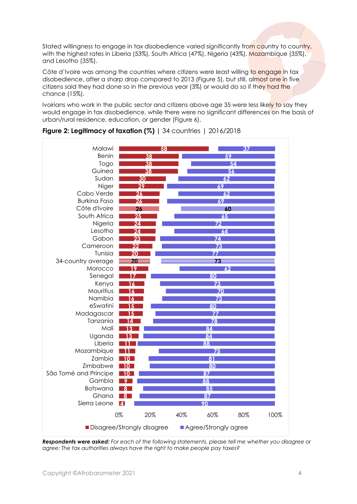Stated willingness to engage in tax disobedience varied significantly from country to country, with the highest rates in Liberia (53%), South Africa (47%), Nigeria (43%), Mozambique (35%), and Lesotho (35%).

Côte d'Ivoire was among the countries where citizens were least willing to engage in tax disobedience, after a sharp drop compared to 2013 (Figure 5), but still, almost one in five citizens said they had done so in the previous year (3%) or would do so if they had the chance (15%).

Ivoirians who work in the public sector and citizens above age 35 were less likely to say they would engage in tax disobedience, while there were no significant differences on the basis of urban/rural residence, education, or gender (Figure 6).



| <b>Figure 2: Legitimacy of taxation (%)</b>   34 countries   $2016/2018$ |  |  |
|--------------------------------------------------------------------------|--|--|
|                                                                          |  |  |

*Respondents were asked: For each of the following statements, please tell me whether you disagree or agree: The tax authorities always have the right to make people pay taxes?*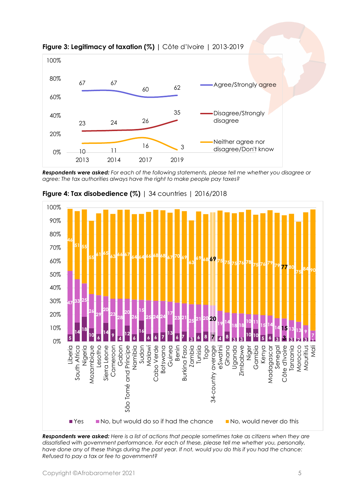

**Figure 3: Legitimacy of taxation (%) |** Côte d'Ivoire | 2013-2019

*Respondents were asked: For each of the following statements, please tell me whether you disagree or agree: The tax authorities always have the right to make people pay taxes?*



**Figure 4: Tax disobedience (%)** | 34 countries | 2016/2018

*Respondents were asked: Here is a list of actions that people sometimes take as citizens when they are dissatisfied with government performance. For each of these, please tell me whether you, personally,*  have done any of these things during the past year. If not, would you do this if you had the chance: *Refused to pay a tax or fee to government?*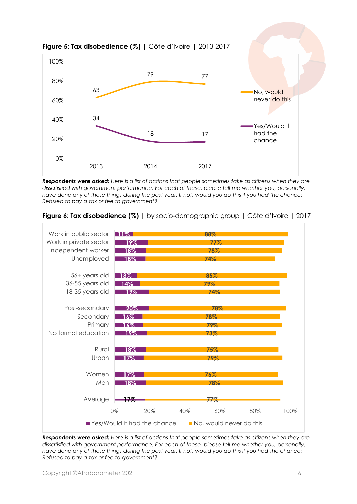

**Figure 5: Tax disobedience (%)** | Côte d'Ivoire | 2013-2017

*Respondents were asked: Here is a list of actions that people sometimes take as citizens when they are dissatisfied with government performance. For each of these, please tell me whether you, personally, have done any of these things during the past year. If not, would you do this if you had the chance: Refused to pay a tax or fee to government?*



#### **Figure 6: Tax disobedience (%)** | by socio-demographic group | Côte d'Ivoire | 2017

*Respondents were asked: Here is a list of actions that people sometimes take as citizens when they are dissatisfied with government performance. For each of these, please tell me whether you, personally,*  have done any of these things during the past year. If not, would you do this if you had the chance: *Refused to pay a tax or fee to government?*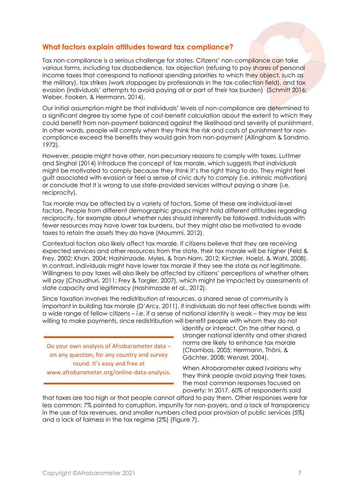#### **What factors explain attitudes toward tax compliance?**

Tax non-compliance is a serious challenge for states. Citizens' non-compliance can take various forms, including tax disobedience, tax objection (refusing to pay shares of personal income taxes that correspond to national spending priorities to which they object, such as the military), tax strikes (work stoppages by professionals in the tax-collection field), and tax evasion (individuals' attempts to avoid paying all or part of their tax burden) (Schmitt 2016; Weber, Fooken, & Herrmann, 2014).

Our initial assumption might be that individuals' levels of non-compliance are determined to a significant degree by some type of cost-benefit calculation about the extent to which they could benefit from non-payment balanced against the likelihood and severity of punishment. In other words, people will comply when they think the risk and costs of punishment for noncompliance exceed the benefits they would gain from non-payment (Allingham & Sandmo, 1972).

However, people might have other, non-pecuniary reasons to comply with taxes. Luttmer and Singhal (2014) introduce the concept of tax morale, which suggests that individuals might be motivated to comply because they think it's the right thing to do. They might feel guilt associated with evasion or feel a sense of civic duty to comply (i.e. intrinsic motivation) or conclude that it is wrong to use state-provided services without paying a share (i.e. reciprocity).

Tax morale may be affected by a variety of factors. Some of these are individual-level factors. People from different demographic groups might hold different attitudes regarding reciprocity, for example about whether rules should inherently be followed. Individuals with fewer resources may have lower tax burdens, but they might also be motivated to evade taxes to retain the assets they do have (Moummi, 2012).

Contextual factors also likely affect tax morale. If citizens believe that they are receiving expected services and other resources from the state, their tax morale will be higher (Feld & Frey, 2002; Khan, 2004; Hashimzade, Myles, & Tran-Nam, 2012; Kirchler, Hoelzl, & Wahl, 2008). In contrast, individuals might have lower tax morale if they see the state as not legitimate. Willingness to pay taxes will also likely be affected by citizens' perceptions of whether others will pay (Chaudhuri, 2011; Frey & Torgler, 2007), which might be impacted by assessments of state capacity and legitimacy (Hashimzade et al., 2012).

Since taxation involves the redistribution of resources, a shared sense of community is important in building tax morale (D'Arcy, 2011). If individuals do not feel affective bonds with a wide range of fellow citizens – i.e. if a sense of national identity is weak – they may be less willing to make payments, since redistribution will benefit people with whom they do not

Do your own analysis of Afrobarometer data – on any question, for any country and survey round. It's easy and free at www.afrobarometer.org/online-data-analysis. identify or interact. On the other hand, a stronger national identity and other shared norms are likely to enhance tax morale (Chambas, 2005; Herrmann, Thöni, & Gächter, 2008; Wenzel, 2004).

When Afrobarometer asked Ivoirians why they think people avoid paying their taxes, the most common responses focused on poverty: In 2017, 60% of respondents said

that taxes are too high or that people cannot afford to pay them. Other responses were far less common: 7% pointed to corruption, impunity for non-payers, and a lack of transparency in the use of tax revenues, and smaller numbers cited poor provision of public services (5%) and a lack of fairness in the tax regime (2%) (Figure 7).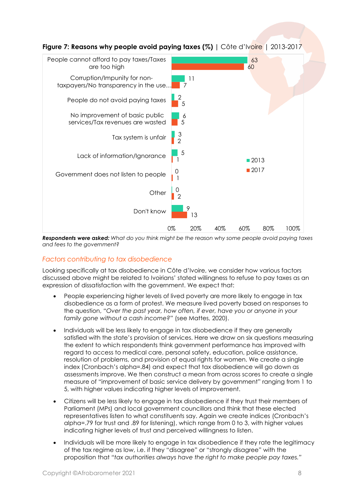

*Respondents were asked: What do you think might be the reason why some people avoid paying taxes and fees to the government?*

#### *Factors contributing to tax disobedience*

Looking specifically at tax disobedience in Côte d'Ivoire, we consider how various factors discussed above might be related to Ivoirians' stated willingness to refuse to pay taxes as an expression of dissatisfaction with the government. We expect that:

- People experiencing higher levels of lived poverty are more likely to engage in tax disobedience as a form of protest. We measure lived poverty based on responses to the question, *"Over the past year, how often, if ever, have you or anyone in your family gone without a cash income?"* (see Mattes, 2020).
- Individuals will be less likely to engage in tax disobedience if they are generally satisfied with the state's provision of services. Here we draw on six questions measuring the extent to which respondents think government performance has improved with regard to access to medical care, personal safety, education, police assistance, resolution of problems, and provision of equal rights for women. We create a single index (Cronbach's alpha=.84) and expect that tax disobedience will go down as assessments improve. We then construct a mean from across scores to create a single measure of "improvement of basic service delivery by government" ranging from 1 to 5, with higher values indicating higher levels of improvement.
- Citizens will be less likely to engage in tax disobedience if they trust their members of Parliament (MPs) and local government councillors and think that these elected representatives listen to what constituents say. Again we create indices (Cronbach's alpha=.79 for trust and .89 for listening), which range from 0 to 3, with higher values indicating higher levels of trust and perceived willingness to listen.
- Individuals will be more likely to engage in tax disobedience if they rate the legitimacy of the tax regime as low, i.e. if they "disagree" or "strongly disagree" with the proposition that *"tax authorities always have the right to make people pay taxes."*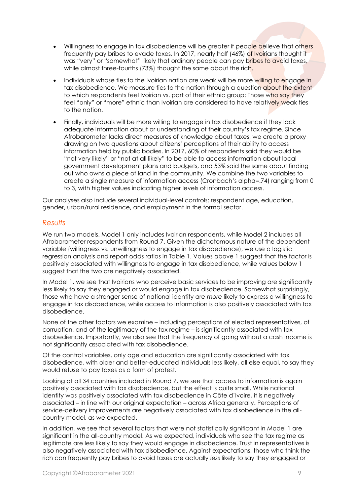- Willingness to engage in tax disobedience will be greater if people believe that others frequently pay bribes to evade taxes. In 2017, nearly half (46%) of Ivoirians thought it was "very" or "somewhat" likely that ordinary people can pay bribes to avoid taxes, while almost three-fourths (73%) thought the same about the rich.
- Individuals whose ties to the Ivoirian nation are weak will be more willing to engage in tax disobedience. We measure ties to the nation through a question about the extent to which respondents feel Ivoirian vs. part of their ethnic group: Those who say they feel "only" or "more" ethnic than Ivoirian are considered to have relatively weak ties to the nation.
- Finally, individuals will be more willing to engage in tax disobedience if they lack adequate information about or understanding of their country's tax regime. Since Afrobarometer lacks direct measures of knowledge about taxes, we create a proxy drawing on two questions about citizens' perceptions of their ability to access information held by public bodies. In 2017, 60% of respondents said they would be "not very likely" or "not at all likely" to be able to access information about local government development plans and budgets, and 53% said the same about finding out who owns a piece of land in the community. We combine the two variables to create a single measure of information access (Cronbach's alpha=.74) ranging from 0 to 3, with higher values indicating higher levels of information access.

Our analyses also include several individual-level controls: respondent age, education, gender, urban/rural residence, and employment in the formal sector.

#### *Results*

We run two models. Model 1 only includes Ivoirian respondents, while Model 2 includes all Afrobarometer respondents from Round 7. Given the dichotomous nature of the dependent variable (willingness vs. unwillingness to engage in tax disobedience), we use a logistic regression analysis and report odds ratios in Table 1. Values above 1 suggest that the factor is positively associated with willingness to engage in tax disobedience, while values below 1 suggest that the two are negatively associated.

In Model 1, we see that Ivoirians who perceive basic services to be improving are significantly less likely to say they engaged or would engage in tax disobedience. Somewhat surprisingly, those who have a stronger sense of national identity are *more* likely to express a willingness to engage in tax disobedience, while access to information is also positively associated with tax disobedience.

None of the other factors we examine – including perceptions of elected representatives, of corruption, and of the legitimacy of the tax regime – is significantly associated with tax disobedience. Importantly, we also see that the frequency of going without a cash income is not significantly associated with tax disobedience.

Of the control variables, only age and education are significantly associated with tax disobedience, with older and better-educated individuals less likely, all else equal, to say they would refuse to pay taxes as a form of protest.

Looking at all 34 countries included in Round 7, we see that access to information is again positively associated with tax disobedience, but the effect is quite small. While national identity was positively associated with tax disobedience in Côte d'Ivoire, it is negatively associated – in line with our original expectation – across Africa generally. Perceptions of service-delivery improvements are negatively associated with tax disobedience in the allcountry model, as we expected.

In addition, we see that several factors that were not statistically significant in Model 1 are significant in the all-country model. As we expected, individuals who see the tax regime as legitimate are less likely to say they would engage in disobedience. Trust in representatives is also negatively associated with tax disobedience. Against expectations, those who think the rich can frequently pay bribes to avoid taxes are actually *less* likely to say they engaged or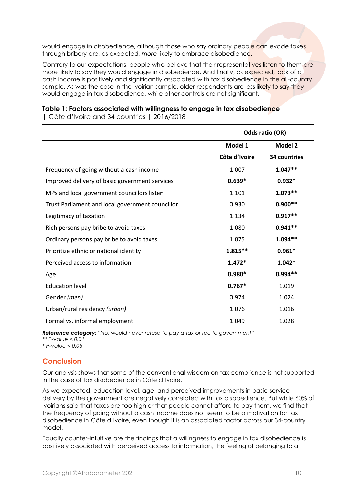would engage in disobedience, although those who say ordinary people can evade taxes through bribery are, as expected, *more* likely to embrace disobedience.

Contrary to our expectations, people who believe that their representatives listen to them are more likely to say they would engage in disobedience. And finally, as expected, lack of a cash income is positively and significantly associated with tax disobedience in the all-country sample. As was the case in the Ivoirian sample, older respondents are less likely to say they would engage in tax disobedience, while other controls are not significant.

## **Table 1: Factors associated with willingness to engage in tax disobedience**

|                                                  | Odds ratio (OR) |              |
|--------------------------------------------------|-----------------|--------------|
|                                                  | Model 1         | Model 2      |
|                                                  | Côte d'Ivoire   | 34 countries |
| Frequency of going without a cash income         | 1.007           | $1.047**$    |
| Improved delivery of basic government services   | $0.639*$        | $0.932*$     |
| MPs and local government councillors listen      | 1.101           | $1.073**$    |
| Trust Parliament and local government councillor | 0.930           | $0.900**$    |
| Legitimacy of taxation                           | 1.134           | $0.917**$    |
| Rich persons pay bribe to avoid taxes            | 1.080           | $0.941**$    |
| Ordinary persons pay bribe to avoid taxes        | 1.075           | $1.094**$    |
| Prioritize ethnic or national identity           | $1.815**$       | $0.961*$     |
| Perceived access to information                  | $1.472*$        | $1.042*$     |
| Age                                              | $0.980*$        | $0.994**$    |
| <b>Education level</b>                           | $0.767*$        | 1.019        |
| Gender (men)                                     | 0.974           | 1.024        |
| Urban/rural residency (urban)                    | 1.076           | 1.016        |
| Formal vs. informal employment                   | 1.049           | 1.028        |

| Côte d'Ivoire and 34 countries | 2016/2018

*Reference category: "No, would never refuse to pay a tax or fee to government"*

*\*\* P-value < 0.01*

*\* P-value < 0.05*

### **Conclusion**

Our analysis shows that some of the conventional wisdom on tax compliance is not supported in the case of tax disobedience in Côte d'Ivoire.

As we expected, education level, age, and perceived improvements in basic service delivery by the government are negatively correlated with tax disobedience. But while 60% of Ivoirians said that taxes are too high or that people cannot afford to pay them, we find that the frequency of going without a cash income does not seem to be a motivation for tax disobedience in Côte d'Ivoire, even though it is an associated factor across our 34-country model.

Equally counter-intuitive are the findings that a willingness to engage in tax disobedience is positively associated with perceived access to information, the feeling of belonging to a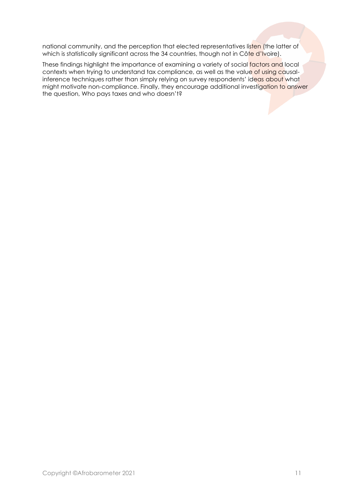national community, and the perception that elected representatives listen (the latter of which is statistically significant across the 34 countries, though not in Côte d'Ivoire).

These findings highlight the importance of examining a variety of social factors and local contexts when trying to understand tax compliance, as well as the value of using causalinference techniques rather than simply relying on survey respondents' ideas about what might motivate non-compliance. Finally, they encourage additional investigation to answer the question, Who pays taxes and who doesn't?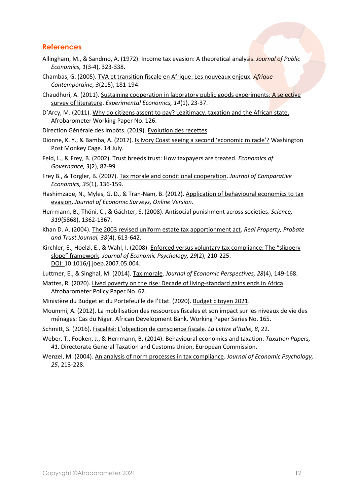#### **References**

- Allingham, M., & [Sandmo,](https://econpapers.repec.org/RAS/psa1748.htm) A. (1972). [Income tax evasion: A theoretical analysis.](http://www.sciencedirect.com/science/article/pii/0047-2727(72)90010-2) *[Journal of Public](https://econpapers.repec.org/article/eeepubeco/)  [Economics,](https://econpapers.repec.org/article/eeepubeco/) 1*(3-4), 323-338.
- Chambas, G. (2005). TVA [et transition fiscale en Afrique: Les nouveaux enjeux.](https://www.cairn.info/revue-afrique-contemporaine-2005-3-page-181.htm) *[Afrique](https://www.cairn.info/revue-afrique-contemporaine.htm)  [Contemporaine,](https://www.cairn.info/revue-afrique-contemporaine.htm) 3*[\(215\),](https://www.cairn.info/revue-afrique-contemporaine-2005-3.htm) 181-194.
- Chaudhuri, A. (2011). [Sustaining cooperation in laboratory public goods experiments: A selective](https://www.semanticscholar.org/paper/Sustaining-cooperation-in-laboratory-public-goods-a-Chaudhuri/0349cfb4c083ba370e13de8447fdc2946efb3983)  [survey of literature.](https://www.semanticscholar.org/paper/Sustaining-cooperation-in-laboratory-public-goods-a-Chaudhuri/0349cfb4c083ba370e13de8447fdc2946efb3983) *Experimental Economics, 14*(1), 23-37.
- D'Arcy, M. (2011). [Why do citizens assent to pay? Legitimacy, taxation and the African state.](https://afrobarometer.org/sites/default/files/publications/Working%20paper/AfropaperNo126.pdf) Afrobarometer Working Paper No. 126.

Direction Générale des Impôts. (2019). [Evolution des recettes.](https://www.dgi.gouv.ci/index.php/statistiques/25-evolution-des-recettes)

- Dionne, K. Y., & Bamba, A. (2017). [Is Ivory Coast seeing a second 'economic miracle'?](https://www.washingtonpost.com/news/monkey-cage/wp/2017/07/14/is-ivory-coast-seeing-a-second-economic-miracle/) Washington Post Monkey Cage. 14 July.
- [Feld,](https://econpapers.repec.org/RAS/pfe65.htm) L., [& Frey,](https://econpapers.repec.org/RAS/pfr6.htm) B. (2002)[. Trust breeds trust: How taxpayers are treated.](http://hdl.handle.net/10.1007/s101010100032) *[Economics of](https://econpapers.repec.org/article/sprecogov/)  [Governance,](https://econpapers.repec.org/article/sprecogov/) 3*(2), 87-99.
- Frey B., & Torgler, B. (2007). [Tax morale and conditional cooperation.](file:///C:/Users/BrianHoward/Documents/Afrobarometer/Edit/Policy%20papers/CI%20tax%20compliance-Kone-march21/Frey%20B.%20S.%20and%20Torgler%20B.%20(2007).%20Tax%20morale%20and%20conditional%20cooperation.%20Journal%20of%20Comparative%20Economics,%20Vol.%2035,%20No.%201,%20p.%20136-159) *Journal of Comparative Economics, 35*(1), 136-159.
- Hashimzade, N., Myles, G. D., & Tran-Nam, B. (2012). [Application of behavioural economics to tax](https://onlinelibrary.wiley.com/doi/abs/10.1111/j.1467-6419.2012.00733.x)  [evasion.](https://onlinelibrary.wiley.com/doi/abs/10.1111/j.1467-6419.2012.00733.x) *Journal of Economic Surveys, Online Version*.
- Herrmann, B., Thöni, C., & Gächter, S. (2008). [Antisocial punishment across societies.](https://science.sciencemag.org/content/319/5868/1362) *Science, 319*(5868), 1362-1367.
- Khan D. A. (2004). [The 2003 revised uniform estate tax apportionment act.](https://repository.law.umich.edu/cgi/viewcontent.cgi?article=2505&context=articles) *Real Property, Probate and Trust Journal, 38*(4), 613-642.
- [Kirchler,](https://www.researchgate.net/profile/Erich-Kirchler?_sg%5b0%5d=3AIZGng6THqpAIoqA7svk7ZLnXjYrDWGbtFH5JGY9LwTOjusSKuCtht8Uohnqc5sNNgam5M.abwtZBB-E8ZmA0eYaCXgbq5ZMSLLZvqo9r9aTurFnopXQFwWSJmMhziIKqfCaOJ1pCr_4Kxy1qz7RgpyEj96yg&_sg%5b1%5d=nLxBIlPxxWfnmU7aFOQF7_jBFstVtQLaBoTnQgODMfuLoAz7plIoCB7DIkD7nV-nLF19i6M.l7uTRgBu3ckeqRDZ8pLWQWsQ5ysUUzAt3XWjIxQe7fcKj62O_1ns2G3jgjsL5ODJRaUxWS0GLtEbMgkOQYDPfQ) E., [Hoelzl,](https://www.researchgate.net/scientific-contributions/Erik-Hoelzl-14103871?_sg%5b0%5d=3AIZGng6THqpAIoqA7svk7ZLnXjYrDWGbtFH5JGY9LwTOjusSKuCtht8Uohnqc5sNNgam5M.abwtZBB-E8ZmA0eYaCXgbq5ZMSLLZvqo9r9aTurFnopXQFwWSJmMhziIKqfCaOJ1pCr_4Kxy1qz7RgpyEj96yg&_sg%5b1%5d=nLxBIlPxxWfnmU7aFOQF7_jBFstVtQLaBoTnQgODMfuLoAz7plIoCB7DIkD7nV-nLF19i6M.l7uTRgBu3ckeqRDZ8pLWQWsQ5ysUUzAt3XWjIxQe7fcKj62O_1ns2G3jgjsL5ODJRaUxWS0GLtEbMgkOQYDPfQ) E., & [Wahl,](https://www.researchgate.net/profile/Ingrid-Wahl?_sg%5b0%5d=3AIZGng6THqpAIoqA7svk7ZLnXjYrDWGbtFH5JGY9LwTOjusSKuCtht8Uohnqc5sNNgam5M.abwtZBB-E8ZmA0eYaCXgbq5ZMSLLZvqo9r9aTurFnopXQFwWSJmMhziIKqfCaOJ1pCr_4Kxy1qz7RgpyEj96yg&_sg%5b1%5d=nLxBIlPxxWfnmU7aFOQF7_jBFstVtQLaBoTnQgODMfuLoAz7plIoCB7DIkD7nV-nLF19i6M.l7uTRgBu3ckeqRDZ8pLWQWsQ5ysUUzAt3XWjIxQe7fcKj62O_1ns2G3jgjsL5ODJRaUxWS0GLtEbMgkOQYDPfQ) I. (2008). [Enforced versus voluntary tax compliance: The "slippery](http://www.europhd.net/sites/default/files/summerschools/25thsummerschool/kirchler_hoelzl2008.pdf)  [slope" framework](http://www.europhd.net/sites/default/files/summerschools/25thsummerschool/kirchler_hoelzl2008.pdf). *Journal of Economic Psychology, 29*(2), 210-225. DOI: [10.1016/j.joep.2007.05.004.](http://dx.doi.org/10.1016/j.joep.2007.05.004)
- Luttmer, E., & Singhal, M. (2014)[. Tax morale.](https://users.nber.org/~luttmer/taxmorale.pdf) *Journal of Economic Perspectives, 28*(4), 149-168.
- Mattes, R. (2020). [Lived poverty on the rise: Decade of living-standard gains ends in Africa.](http://afrobarometer.org/publications/pp62-lived-poverty-rise-decade-living-standard-gains-ends-africa) Afrobarometer Policy Paper No. 62.
- Ministère du Budget et du Portefeuille de l'Etat. (2020). [Budget citoyen 2021.](http://dgbf.gouv.ci/wp-content/uploads/2020/12/Budget-Citoyen_2021.pdf)
- Moummi, A. (2012). [La mobilisation des ressources fiscales et son impact sur les niveaux de vie des](https://www.afdb.org/en/documents/document/working-paper-165-tax-resource-mobilization-and-its-impact-on-household-living-standards-evidence-from-niger-30954)  [ménages: Cas du Niger.](https://www.afdb.org/en/documents/document/working-paper-165-tax-resource-mobilization-and-its-impact-on-household-living-standards-evidence-from-niger-30954) African Development Bank. Working Paper Series No. 165.
- Schmitt, S. (2016). [Fiscalité: L'objection de conscience fiscale](https://en.calameo.com/read/0050533305bd9c73d9297). *La Lettre d'Italie, 8*, 22.
- Weber, T., Fooken, J., & Herrmann, B. (2014). [Behavioural economics and taxation.](https://ideas.repec.org/p/tax/taxpap/0041.html) *Taxation Papers, 41*. Directorate General Taxation and Customs Union, European Commission.
- Wenzel, M. (2004). [An analysis of norm processes in tax compliance.](https://www.sciencedirect.com/science/article/abs/pii/S016748700200168X?via%3Dihub) *Journal of Economic Psychology, 25*, 213-228.